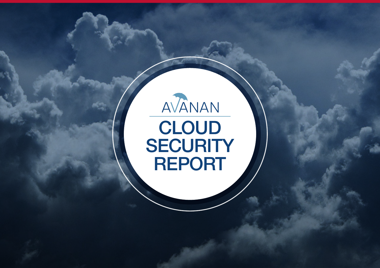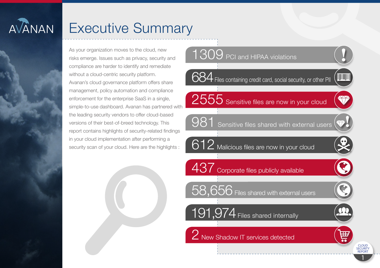# **AVANAN**

## **Executive Summary**

As your organization moves to the cloud, new risks emerge. Issues such as privacy, security and compliance are harder to identify and remediate without a cloud-centric security platform. Avanan's cloud governance platform offers share management, policy automation and compliance enforcement for the enterprise SaaS in a single, simple-to-use dashboard. Avanan has partnered with the leading security vendors to offer cloud-based versions of their best-of-breed technology. This report contains highlights of security-related findings in your cloud implementation after performing a security scan of your cloud. Here are the highlights:



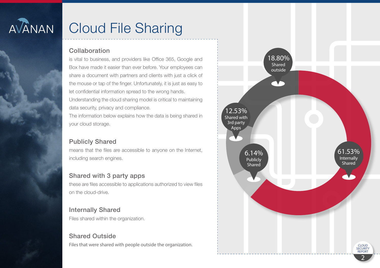

### **Cloud File Sharing**

#### Collaboration

is vital to business, and providers like Office 365, Google and Box have made it easier than ever before. Your employees can share a document with partners and clients with just a click of the mouse or tap of the finger. Unfortunately, it is just as easy to let confidential information spread to the wrong hands.

Understanding the cloud sharing model is critical to maintaining data security, privacy and compliance.

The information below explains how the data is being shared in your cloud storage.

#### **Publicly Shared**

means that the files are accessible to anyone on the Internet, including search engines.

#### Shared with 3 party apps

these are files accessible to applications authorized to view files on the cloud-drive

#### **Internally Shared**

Files shared within the organization.

#### **Shared Outside**

Files that were shared with people outside the organization.

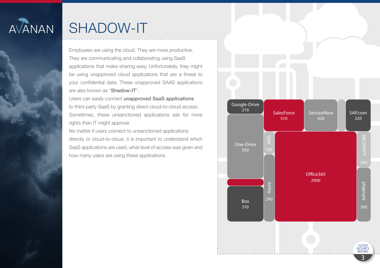

### SHADOW-IT

Employees are using the cloud. They are more productive. They are communicating and collaborating using SaaS applications that make sharing easy. Unfortunately, they might be using unapproved cloud applications that are a threat to your confidential data. These unapproved SAAS applications are also known as "Shadow-IT".

Users can easily connect unapproved SaaS applications to third-party SaaS by granting direct cloud-to-cloud access. Sometimes, these unsanctioned applications ask for more rights than IT might approve.

No matter if users connect to unsanctioned applications directly or cloud-to-cloud, it is important to understand which SaaS applications are used, what level of access was given and how many users are using these applications.

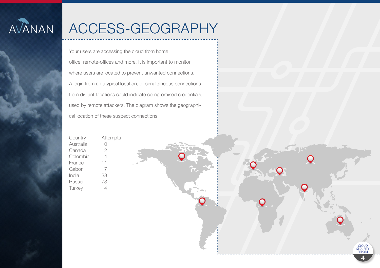

## ACCESS-GEOGRAPHY

Your users are accessing the cloud from home, office, remote-offices and more. It is important to monitor where users are located to prevent unwanted connections. A login from an atypical location, or simultaneous connections from distant locations could indicate compromised credentials, used by remote attackers. The diagram shows the geographical location of these suspect connections.

| <b>Country</b> | <b>Attempts</b> |
|----------------|-----------------|
| Australia      | 10              |
| Canada         | 2               |
| Colombia       | 4               |
| France         | 11              |
| Gabon          | 17              |
| India          | 38              |
| Russia         | 73              |
| Turkey         | 14              |

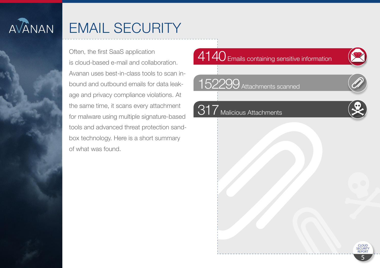

### **EMAIL SECURITY**

Often, the first SaaS application is cloud-based e-mail and collaboration. Avanan uses best-in-class tools to scan inbound and outbound emails for data leakage and privacy compliance violations. At the same time, it scans every attachment for malware using multiple signature-based tools and advanced threat protection sandbox technology. Here is a short summary of what was found.

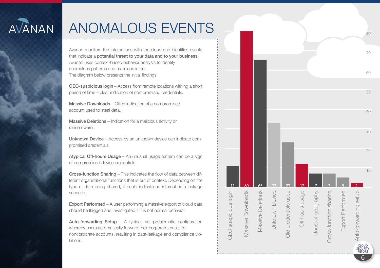

### **ANOMALOUS EVENTS**

Avanan monitors the interactions with the cloud and identifies events that indicate a potential threat to your data and to your business. Avanan uses context-based behavior analysis to identify anomalous patterns and malicious intent. The diagram below presents the initial findings:

GEO-suspicious login - Access from remote locations withing a short period of time - clear indication of compromised credentials.

Massive Downloads - Often indication of a compromised account used to steal data.

**Massive Deletions** – Indication for a malicious activity or ransomware.

**Unknown Device** – Access by an unknown device can indicate compromised credentials.

Atvoical Off-hours Usage - An unusual usage pattern can be a sign of compromised device credentials.

Cross-function Sharing - This indicates the flow of data between different organizational functions that is out of context. Depending on the type of data being shared, it could indicate an internal data leakage scenario

**Export Performed** - A user performing a massive export of cloud data should be flagged and investigated if it is not normal behavior.

Auto-forwarding Setup - A typical, yet problematic configuration whereby users automatically forward their corporate emails to noncorporate accounts, resulting in data-leakage and compliance violations

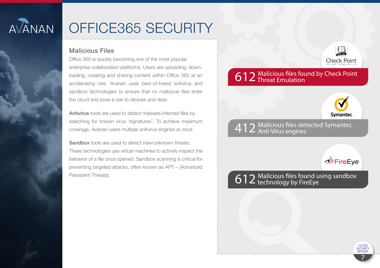

### OFFICE365 SECURITY

#### **Malicious Files**

Office 365 is quickly becoming one of the most popular enterprise collaboration platforms. Users are uploading, downloading, creating and sharing content within Office 365 at an accelerating rate. Avanan uses best-of-breed antivirus and sandbox technologies to ensure that no malicious files enter the cloud and pose a risk to devices and data.

Antivirus tools are used to detect malware-infected files by searching for known virus 'signatures'. To achieve maximum coverage, Avanan users multiple antivirus engines at once.

**Sandbox** tools are used to detect new/unknown threats. These technologies use virtual machines to actively inspect the behavior of a file once opened. Sandbox scanning is critical for preventing targeted attacks, often known as APT - (Advanced Persistent Threats).

### 612 Malicious files found by Check Point<br>612 Threat Emulation



 $\Box$ 

**Check Point** 

#### 412 Malicious files detected Symantec



612 Malicious files found using sandbox<br>612 technology by FireEye